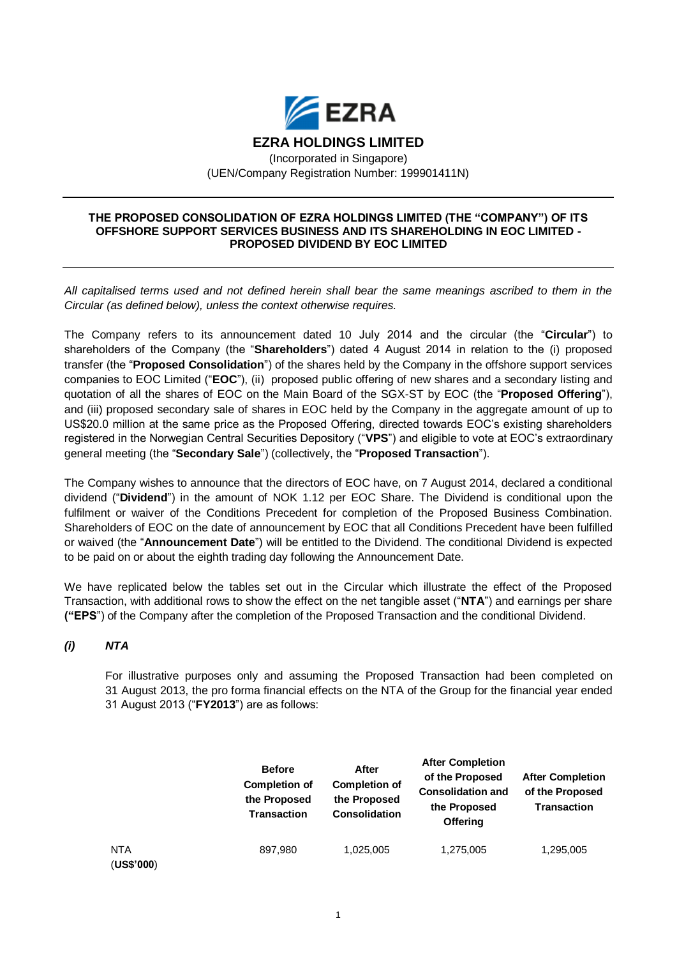

**EZRA HOLDINGS LIMITED**

(Incorporated in Singapore) (UEN/Company Registration Number: 199901411N)

#### **THE PROPOSED CONSOLIDATION OF EZRA HOLDINGS LIMITED (THE "COMPANY") OF ITS OFFSHORE SUPPORT SERVICES BUSINESS AND ITS SHAREHOLDING IN EOC LIMITED - PROPOSED DIVIDEND BY EOC LIMITED**

*All capitalised terms used and not defined herein shall bear the same meanings ascribed to them in the Circular (as defined below), unless the context otherwise requires.*

The Company refers to its announcement dated 10 July 2014 and the circular (the "**Circular**") to shareholders of the Company (the "**Shareholders**") dated 4 August 2014 in relation to the (i) proposed transfer (the "**Proposed Consolidation**") of the shares held by the Company in the offshore support services companies to EOC Limited ("**EOC**"), (ii) proposed public offering of new shares and a secondary listing and quotation of all the shares of EOC on the Main Board of the SGX-ST by EOC (the "**Proposed Offering**"), and (iii) proposed secondary sale of shares in EOC held by the Company in the aggregate amount of up to US\$20.0 million at the same price as the Proposed Offering, directed towards EOC's existing shareholders registered in the Norwegian Central Securities Depository ("**VPS**") and eligible to vote at EOC's extraordinary general meeting (the "**Secondary Sale**") (collectively, the "**Proposed Transaction**").

The Company wishes to announce that the directors of EOC have, on 7 August 2014, declared a conditional dividend ("**Dividend**") in the amount of NOK 1.12 per EOC Share. The Dividend is conditional upon the fulfilment or waiver of the Conditions Precedent for completion of the Proposed Business Combination. Shareholders of EOC on the date of announcement by EOC that all Conditions Precedent have been fulfilled or waived (the "**Announcement Date**") will be entitled to the Dividend. The conditional Dividend is expected to be paid on or about the eighth trading day following the Announcement Date.

We have replicated below the tables set out in the Circular which illustrate the effect of the Proposed Transaction, with additional rows to show the effect on the net tangible asset ("**NTA**") and earnings per share **("EPS**") of the Company after the completion of the Proposed Transaction and the conditional Dividend.

## *(i) NTA*

For illustrative purposes only and assuming the Proposed Transaction had been completed on 31 August 2013, the pro forma financial effects on the NTA of the Group for the financial year ended 31 August 2013 ("**FY2013**") are as follows:

|                   | <b>Before</b><br><b>Completion of</b><br>the Proposed<br><b>Transaction</b> | After<br><b>Completion of</b><br>the Proposed<br><b>Consolidation</b> | <b>After Completion</b><br>of the Proposed<br><b>Consolidation and</b><br>the Proposed<br><b>Offering</b> | <b>After Completion</b><br>of the Proposed<br><b>Transaction</b> |
|-------------------|-----------------------------------------------------------------------------|-----------------------------------------------------------------------|-----------------------------------------------------------------------------------------------------------|------------------------------------------------------------------|
| NTA<br>(US\$'000) | 897.980                                                                     | 1,025,005                                                             | 1,275,005                                                                                                 | 1,295,005                                                        |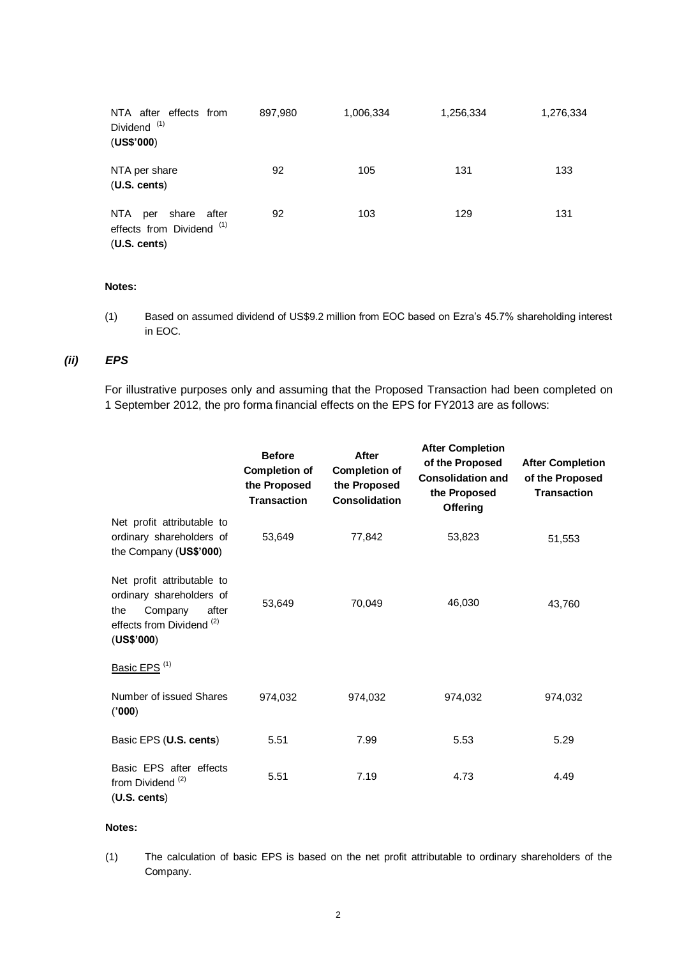| NTA after effects from<br>Dividend <sup>(1)</sup><br>(US\$'000)        | 897,980 | 1,006,334 | 1,256,334 | 1,276,334 |
|------------------------------------------------------------------------|---------|-----------|-----------|-----------|
| NTA per share<br>(U.S. cents)                                          | 92      | 105       | 131       | 133       |
| share after<br>NTA<br>per<br>effects from Dividend (1)<br>(U.S. cents) | 92      | 103       | 129       | 131       |

#### **Notes:**

(1) Based on assumed dividend of US\$9.2 million from EOC based on Ezra's 45.7% shareholding interest in EOC.

# *(ii) EPS*

For illustrative purposes only and assuming that the Proposed Transaction had been completed on 1 September 2012, the pro forma financial effects on the EPS for FY2013 are as follows:

|                                                                                                                                         | <b>Before</b><br><b>Completion of</b><br>the Proposed<br><b>Transaction</b> | After<br><b>Completion of</b><br>the Proposed<br><b>Consolidation</b> | <b>After Completion</b><br>of the Proposed<br><b>Consolidation and</b><br>the Proposed<br><b>Offering</b> | <b>After Completion</b><br>of the Proposed<br><b>Transaction</b> |
|-----------------------------------------------------------------------------------------------------------------------------------------|-----------------------------------------------------------------------------|-----------------------------------------------------------------------|-----------------------------------------------------------------------------------------------------------|------------------------------------------------------------------|
| Net profit attributable to<br>ordinary shareholders of<br>the Company (US\$'000)                                                        | 53,649                                                                      | 77,842                                                                | 53,823                                                                                                    | 51,553                                                           |
| Net profit attributable to<br>ordinary shareholders of<br>the<br>Company<br>after<br>effects from Dividend <sup>(2)</sup><br>(US\$'000) | 53,649                                                                      | 70,049                                                                | 46,030                                                                                                    | 43,760                                                           |
| Basic EPS <sup>(1)</sup>                                                                                                                |                                                                             |                                                                       |                                                                                                           |                                                                  |
| Number of issued Shares<br>(000)                                                                                                        | 974,032                                                                     | 974,032                                                               | 974,032                                                                                                   | 974,032                                                          |
| Basic EPS (U.S. cents)                                                                                                                  | 5.51                                                                        | 7.99                                                                  | 5.53                                                                                                      | 5.29                                                             |
| Basic EPS after effects<br>from Dividend <sup>(2)</sup><br>(U.S. cents)                                                                 | 5.51                                                                        | 7.19                                                                  | 4.73                                                                                                      | 4.49                                                             |

### **Notes:**

(1) The calculation of basic EPS is based on the net profit attributable to ordinary shareholders of the Company.